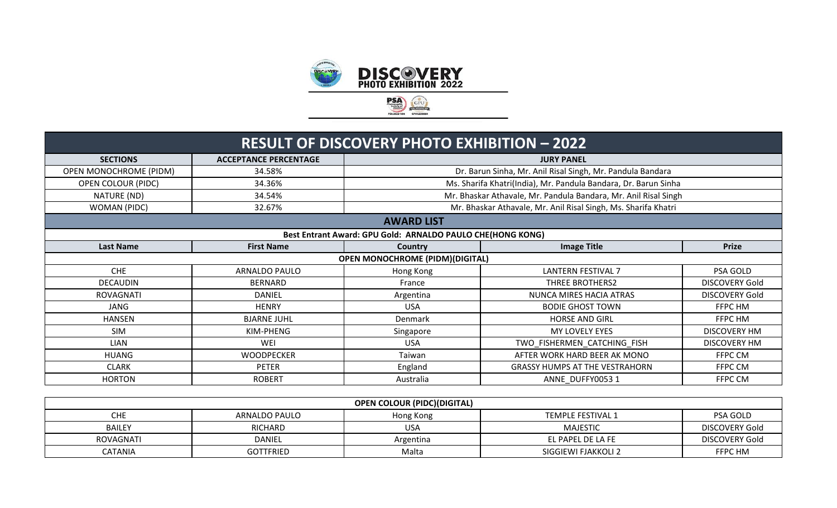

|                        |                                                   | <b>RESULT OF DISCOVERY PHOTO EXHIBITION - 2022</b>         |                                                                 |                     |  |  |
|------------------------|---------------------------------------------------|------------------------------------------------------------|-----------------------------------------------------------------|---------------------|--|--|
| <b>SECTIONS</b>        | <b>ACCEPTANCE PERCENTAGE</b><br><b>JURY PANEL</b> |                                                            |                                                                 |                     |  |  |
| OPEN MONOCHROME (PIDM) | 34.58%                                            |                                                            | Dr. Barun Sinha, Mr. Anil Risal Singh, Mr. Pandula Bandara      |                     |  |  |
| OPEN COLOUR (PIDC)     | 34.36%                                            |                                                            | Ms. Sharifa Khatri(India), Mr. Pandula Bandara, Dr. Barun Sinha |                     |  |  |
| NATURE (ND)            | 34.54%                                            |                                                            | Mr. Bhaskar Athavale, Mr. Pandula Bandara, Mr. Anil Risal Singh |                     |  |  |
| WOMAN (PIDC)           | 32.67%                                            |                                                            | Mr. Bhaskar Athavale, Mr. Anil Risal Singh, Ms. Sharifa Khatri  |                     |  |  |
|                        |                                                   | <b>AWARD LIST</b>                                          |                                                                 |                     |  |  |
|                        |                                                   | Best Entrant Award: GPU Gold: ARNALDO PAULO CHE(HONG KONG) |                                                                 |                     |  |  |
| <b>Last Name</b>       | <b>First Name</b>                                 | Country                                                    | <b>Image Title</b>                                              | <b>Prize</b>        |  |  |
|                        |                                                   | <b>OPEN MONOCHROME (PIDM)(DIGITAL)</b>                     |                                                                 |                     |  |  |
| <b>CHE</b>             | ARNALDO PAULO                                     | Hong Kong                                                  | <b>LANTERN FESTIVAL 7</b>                                       | PSA GOLD            |  |  |
| <b>DECAUDIN</b>        | <b>BERNARD</b>                                    | France                                                     | THREE BROTHERS2                                                 | DISCOVERY Gold      |  |  |
| ROVAGNATI              | DANIEL                                            | Argentina                                                  | NUNCA MIRES HACIA ATRAS                                         | DISCOVERY Gold      |  |  |
| <b>JANG</b>            | <b>HENRY</b>                                      | <b>USA</b>                                                 | <b>BODIE GHOST TOWN</b>                                         | FFPC HM             |  |  |
| <b>HANSEN</b>          | <b>BJARNE JUHL</b>                                | Denmark                                                    | <b>HORSE AND GIRL</b>                                           | FFPC HM             |  |  |
| <b>SIM</b>             | KIM-PHENG                                         | Singapore                                                  | MY LOVELY EYES                                                  | <b>DISCOVERY HM</b> |  |  |
| <b>LIAN</b>            | WEI                                               | <b>USA</b>                                                 | TWO FISHERMEN CATCHING FISH                                     | <b>DISCOVERY HM</b> |  |  |
| HUANG                  | <b>WOODPECKER</b>                                 | Taiwan                                                     | AFTER WORK HARD BEER AK MONO                                    | FFPC CM             |  |  |
| <b>CLARK</b>           | <b>PETER</b>                                      | England                                                    | <b>GRASSY HUMPS AT THE VESTRAHORN</b>                           | FFPC CM             |  |  |
| <b>HORTON</b>          | <b>ROBERT</b>                                     | Australia                                                  | ANNE DUFFY0053 1                                                | FFPC CM             |  |  |

| <b>OPEN COLOUR (PIDC)(DIGITAL)</b> |                                                                    |            |                     |                       |  |  |
|------------------------------------|--------------------------------------------------------------------|------------|---------------------|-----------------------|--|--|
| CHE                                | ARNALDO PAULO<br>PSA GOLD<br><b>TEMPLE FESTIVAL 1</b><br>Hong Kong |            |                     |                       |  |  |
| <b>BAILEY</b>                      | RICHARD                                                            | <b>USA</b> | <b>MAJESTIC</b>     | <b>DISCOVERY Gold</b> |  |  |
| ROVAGNATI                          | <b>DANIEL</b>                                                      | Argentina  | EL PAPEL DE LA FE   | <b>DISCOVERY Gold</b> |  |  |
| <b>CATANIA</b>                     | <b>GOTTFRIED</b>                                                   | Malta      | SIGGIEWI FJAKKOLI 2 | FFPC HM               |  |  |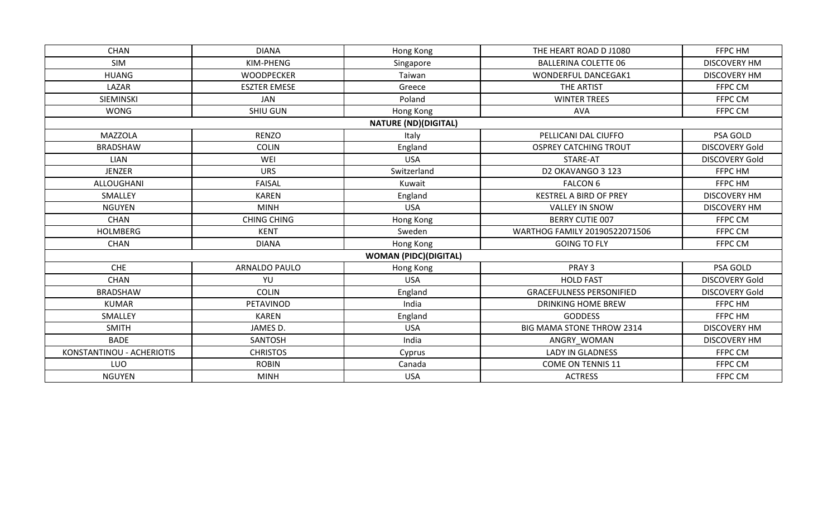| <b>CHAN</b>               | <b>DIANA</b>        | Hong Kong                    | THE HEART ROAD D J1080           | FFPC HM               |
|---------------------------|---------------------|------------------------------|----------------------------------|-----------------------|
| SIM                       | KIM-PHENG           | Singapore                    | <b>BALLERINA COLETTE 06</b>      | <b>DISCOVERY HM</b>   |
| <b>HUANG</b>              | <b>WOODPECKER</b>   | Taiwan                       | <b>WONDERFUL DANCEGAK1</b>       | <b>DISCOVERY HM</b>   |
| LAZAR                     | <b>ESZTER EMESE</b> | Greece                       | THE ARTIST                       | FFPC CM               |
| SIEMINSKI                 | <b>JAN</b>          | Poland                       | <b>WINTER TREES</b>              | FFPC CM               |
| <b>WONG</b>               | SHIU GUN            | Hong Kong                    | <b>AVA</b>                       | FFPC CM               |
|                           |                     | <b>NATURE (ND)(DIGITAL)</b>  |                                  |                       |
| <b>MAZZOLA</b>            | <b>RENZO</b>        | Italy                        | PELLICANI DAL CIUFFO             | PSA GOLD              |
| <b>BRADSHAW</b>           | <b>COLIN</b>        | England                      | <b>OSPREY CATCHING TROUT</b>     | <b>DISCOVERY Gold</b> |
| <b>LIAN</b>               | WEI                 | <b>USA</b>                   | STARE-AT                         | <b>DISCOVERY Gold</b> |
| <b>JENZER</b>             | <b>URS</b>          | Switzerland                  | D2 OKAVANGO 3 123                | FFPC HM               |
| ALLOUGHANI                | <b>FAISAL</b>       | Kuwait                       | <b>FALCON 6</b>                  | FFPC HM               |
| SMALLEY                   | <b>KAREN</b>        | England                      | KESTREL A BIRD OF PREY           | <b>DISCOVERY HM</b>   |
| <b>NGUYEN</b>             | <b>MINH</b>         | <b>USA</b>                   | <b>VALLEY IN SNOW</b>            | <b>DISCOVERY HM</b>   |
| <b>CHAN</b>               | <b>CHING CHING</b>  | Hong Kong                    | <b>BERRY CUTIE 007</b>           | FFPC CM               |
| HOLMBERG                  | <b>KENT</b>         | Sweden                       | WARTHOG FAMILY 20190522071506    | FFPC CM               |
| <b>CHAN</b>               | <b>DIANA</b>        | Hong Kong                    | <b>GOING TO FLY</b>              | FFPC CM               |
|                           |                     | <b>WOMAN (PIDC)(DIGITAL)</b> |                                  |                       |
| <b>CHE</b>                | ARNALDO PAULO       | Hong Kong                    | PRAY 3                           | PSA GOLD              |
| <b>CHAN</b>               | YU                  | <b>USA</b>                   | <b>HOLD FAST</b>                 | <b>DISCOVERY Gold</b> |
| <b>BRADSHAW</b>           | <b>COLIN</b>        | England                      | <b>GRACEFULNESS PERSONIFIED</b>  | <b>DISCOVERY Gold</b> |
| <b>KUMAR</b>              | PETAVINOD           | India                        | <b>DRINKING HOME BREW</b>        | FFPC HM               |
| SMALLEY                   | <b>KAREN</b>        | England                      | <b>GODDESS</b>                   | FFPC HM               |
| <b>SMITH</b>              | JAMES D.            | <b>USA</b>                   | <b>BIG MAMA STONE THROW 2314</b> | <b>DISCOVERY HM</b>   |
| <b>BADE</b>               | SANTOSH             | India                        | ANGRY WOMAN                      | <b>DISCOVERY HM</b>   |
| KONSTANTINOU - ACHERIOTIS | <b>CHRISTOS</b>     | Cyprus                       | <b>LADY IN GLADNESS</b>          | FFPC CM               |
| LUO                       | <b>ROBIN</b>        | Canada                       | <b>COME ON TENNIS 11</b>         | FFPC CM               |
| <b>NGUYEN</b>             | <b>MINH</b>         | <b>USA</b>                   | <b>ACTRESS</b>                   | FFPC CM               |
|                           |                     |                              |                                  |                       |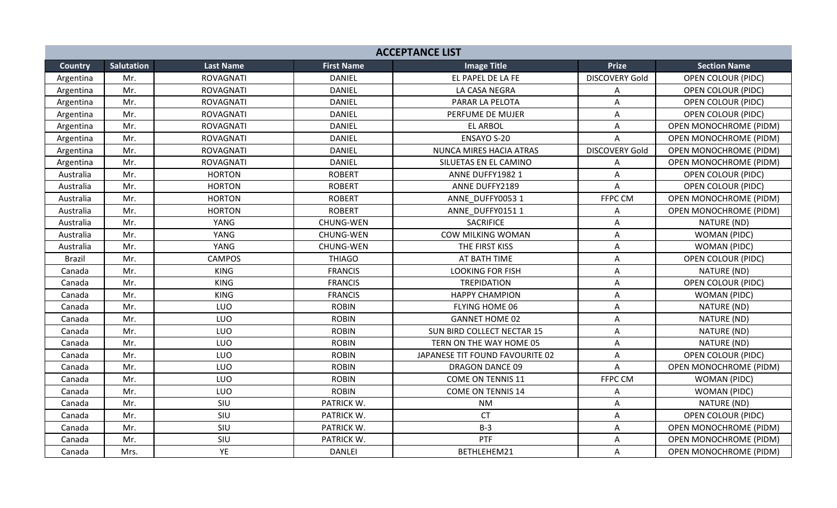|                | <b>ACCEPTANCE LIST</b> |                  |                   |                                 |                           |                               |  |  |
|----------------|------------------------|------------------|-------------------|---------------------------------|---------------------------|-------------------------------|--|--|
| <b>Country</b> | <b>Salutation</b>      | <b>Last Name</b> | <b>First Name</b> | <b>Image Title</b>              | <b>Prize</b>              | <b>Section Name</b>           |  |  |
| Argentina      | Mr.                    | <b>ROVAGNATI</b> | <b>DANIEL</b>     | EL PAPEL DE LA FE               | <b>DISCOVERY Gold</b>     | OPEN COLOUR (PIDC)            |  |  |
| Argentina      | Mr.                    | <b>ROVAGNATI</b> | <b>DANIEL</b>     | LA CASA NEGRA                   | Α                         | <b>OPEN COLOUR (PIDC)</b>     |  |  |
| Argentina      | Mr.                    | <b>ROVAGNATI</b> | <b>DANIEL</b>     | PARAR LA PELOTA                 | Α                         | <b>OPEN COLOUR (PIDC)</b>     |  |  |
| Argentina      | Mr.                    | <b>ROVAGNATI</b> | <b>DANIEL</b>     | PERFUME DE MUJER                | A                         | <b>OPEN COLOUR (PIDC)</b>     |  |  |
| Argentina      | Mr.                    | ROVAGNATI        | <b>DANIEL</b>     | <b>EL ARBOL</b>                 | Α                         | <b>OPEN MONOCHROME (PIDM)</b> |  |  |
| Argentina      | Mr.                    | ROVAGNATI        | <b>DANIEL</b>     | <b>ENSAYO S-20</b>              | A                         | <b>OPEN MONOCHROME (PIDM)</b> |  |  |
| Argentina      | Mr.                    | <b>ROVAGNATI</b> | <b>DANIEL</b>     | NUNCA MIRES HACIA ATRAS         | <b>DISCOVERY Gold</b>     | <b>OPEN MONOCHROME (PIDM)</b> |  |  |
| Argentina      | Mr.                    | <b>ROVAGNATI</b> | <b>DANIEL</b>     | SILUETAS EN EL CAMINO           | A                         | OPEN MONOCHROME (PIDM)        |  |  |
| Australia      | Mr.                    | <b>HORTON</b>    | <b>ROBERT</b>     | ANNE DUFFY1982 1                | $\mathsf{A}$              | <b>OPEN COLOUR (PIDC)</b>     |  |  |
| Australia      | Mr.                    | <b>HORTON</b>    | <b>ROBERT</b>     | ANNE DUFFY2189                  | A                         | <b>OPEN COLOUR (PIDC)</b>     |  |  |
| Australia      | Mr.                    | <b>HORTON</b>    | <b>ROBERT</b>     | ANNE DUFFY0053 1                | FFPC CM                   | <b>OPEN MONOCHROME (PIDM)</b> |  |  |
| Australia      | Mr.                    | <b>HORTON</b>    | <b>ROBERT</b>     | ANNE DUFFY01511                 | Α                         | <b>OPEN MONOCHROME (PIDM)</b> |  |  |
| Australia      | Mr.                    | YANG             | CHUNG-WEN         | <b>SACRIFICE</b>                | A                         | NATURE (ND)                   |  |  |
| Australia      | Mr.                    | YANG             | CHUNG-WEN         | COW MILKING WOMAN               | A                         | WOMAN (PIDC)                  |  |  |
| Australia      | Mr.                    | YANG             | <b>CHUNG-WEN</b>  | THE FIRST KISS                  | A                         | WOMAN (PIDC)                  |  |  |
| <b>Brazil</b>  | Mr.                    | <b>CAMPOS</b>    | <b>THIAGO</b>     | AT BATH TIME                    | A                         | <b>OPEN COLOUR (PIDC)</b>     |  |  |
| Canada         | Mr.                    | <b>KING</b>      | <b>FRANCIS</b>    | <b>LOOKING FOR FISH</b>         | A                         | NATURE (ND)                   |  |  |
| Canada         | Mr.                    | <b>KING</b>      | <b>FRANCIS</b>    | <b>TREPIDATION</b>              | A                         | OPEN COLOUR (PIDC)            |  |  |
| Canada         | Mr.                    | <b>KING</b>      | <b>FRANCIS</b>    | <b>HAPPY CHAMPION</b>           | A                         | WOMAN (PIDC)                  |  |  |
| Canada         | Mr.                    | LUO              | <b>ROBIN</b>      | FLYING HOME 06                  | A                         | NATURE (ND)                   |  |  |
| Canada         | Mr.                    | LUO              | <b>ROBIN</b>      | <b>GANNET HOME 02</b>           | A                         | NATURE (ND)                   |  |  |
| Canada         | Mr.                    | LUO              | <b>ROBIN</b>      | SUN BIRD COLLECT NECTAR 15      | A                         | NATURE (ND)                   |  |  |
| Canada         | Mr.                    | LUO              | <b>ROBIN</b>      | TERN ON THE WAY HOME 05         | $\boldsymbol{\mathsf{A}}$ | NATURE (ND)                   |  |  |
| Canada         | Mr.                    | LUO              | <b>ROBIN</b>      | JAPANESE TIT FOUND FAVOURITE 02 | A                         | <b>OPEN COLOUR (PIDC)</b>     |  |  |
| Canada         | Mr.                    | LUO              | <b>ROBIN</b>      | <b>DRAGON DANCE 09</b>          | A                         | <b>OPEN MONOCHROME (PIDM)</b> |  |  |
| Canada         | Mr.                    | LUO              | <b>ROBIN</b>      | <b>COME ON TENNIS 11</b>        | FFPC CM                   | WOMAN (PIDC)                  |  |  |
| Canada         | Mr.                    | LUO              | <b>ROBIN</b>      | <b>COME ON TENNIS 14</b>        | A                         | WOMAN (PIDC)                  |  |  |
| Canada         | Mr.                    | SIU              | PATRICK W.        | <b>NM</b>                       | A                         | NATURE (ND)                   |  |  |
| Canada         | Mr.                    | SIU              | PATRICK W.        | <b>CT</b>                       | Α                         | <b>OPEN COLOUR (PIDC)</b>     |  |  |
| Canada         | Mr.                    | SIU              | PATRICK W.        | $B-3$                           | A                         | <b>OPEN MONOCHROME (PIDM)</b> |  |  |
| Canada         | Mr.                    | SIU              | PATRICK W.        | PTF                             | A                         | <b>OPEN MONOCHROME (PIDM)</b> |  |  |
| Canada         | Mrs.                   | YE               | <b>DANLEI</b>     | BETHLEHEM21                     | A                         | OPEN MONOCHROME (PIDM)        |  |  |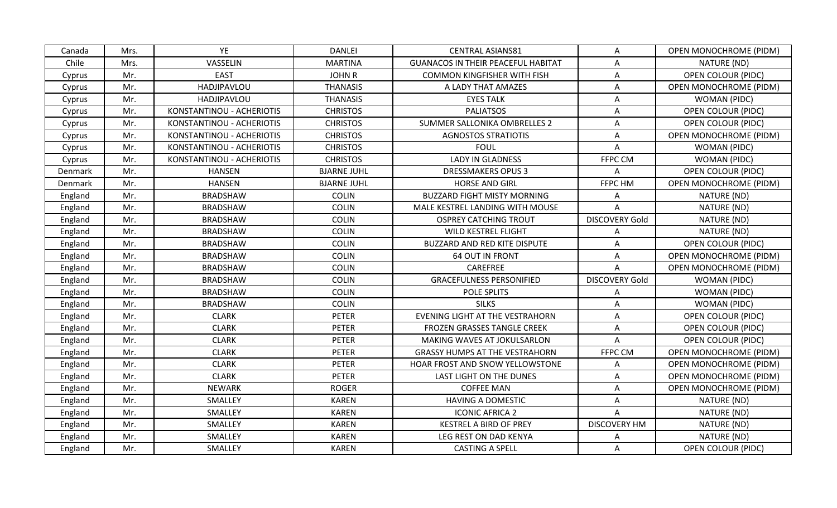| Canada  | Mrs. | YE                        | <b>DANLEI</b>      | <b>CENTRAL ASIANS81</b>                   | A                     | OPEN MONOCHROME (PIDM)        |
|---------|------|---------------------------|--------------------|-------------------------------------------|-----------------------|-------------------------------|
| Chile   | Mrs. | VASSELIN                  | <b>MARTINA</b>     | <b>GUANACOS IN THEIR PEACEFUL HABITAT</b> | A                     | NATURE (ND)                   |
| Cyprus  | Mr.  | <b>EAST</b>               | <b>JOHN R</b>      | <b>COMMON KINGFISHER WITH FISH</b>        | A                     | <b>OPEN COLOUR (PIDC)</b>     |
| Cyprus  | Mr.  | HADJIPAVLOU               | <b>THANASIS</b>    | A LADY THAT AMAZES                        | $\mathsf{A}$          | <b>OPEN MONOCHROME (PIDM)</b> |
| Cyprus  | Mr.  | HADJIPAVLOU               | <b>THANASIS</b>    | <b>EYES TALK</b>                          | A                     | WOMAN (PIDC)                  |
| Cyprus  | Mr.  | KONSTANTINOU - ACHERIOTIS | <b>CHRISTOS</b>    | <b>PALIATSOS</b>                          | A                     | <b>OPEN COLOUR (PIDC)</b>     |
| Cyprus  | Mr.  | KONSTANTINOU - ACHERIOTIS | <b>CHRISTOS</b>    | SUMMER SALLONIKA OMBRELLES 2              | A                     | <b>OPEN COLOUR (PIDC)</b>     |
| Cyprus  | Mr.  | KONSTANTINOU - ACHERIOTIS | <b>CHRISTOS</b>    | <b>AGNOSTOS STRATIOTIS</b>                | Α                     | OPEN MONOCHROME (PIDM)        |
| Cyprus  | Mr.  | KONSTANTINOU - ACHERIOTIS | <b>CHRISTOS</b>    | <b>FOUL</b>                               | A                     | WOMAN (PIDC)                  |
| Cyprus  | Mr.  | KONSTANTINOU - ACHERIOTIS | <b>CHRISTOS</b>    | LADY IN GLADNESS                          | FFPC CM               | <b>WOMAN (PIDC)</b>           |
| Denmark | Mr.  | <b>HANSEN</b>             | <b>BJARNE JUHL</b> | <b>DRESSMAKERS OPUS 3</b>                 | A                     | <b>OPEN COLOUR (PIDC)</b>     |
| Denmark | Mr.  | <b>HANSEN</b>             | <b>BJARNE JUHL</b> | <b>HORSE AND GIRL</b>                     | FFPC HM               | <b>OPEN MONOCHROME (PIDM)</b> |
| England | Mr.  | <b>BRADSHAW</b>           | <b>COLIN</b>       | <b>BUZZARD FIGHT MISTY MORNING</b>        | A                     | NATURE (ND)                   |
| England | Mr.  | <b>BRADSHAW</b>           | <b>COLIN</b>       | MALE KESTREL LANDING WITH MOUSE           | A                     | NATURE (ND)                   |
| England | Mr.  | <b>BRADSHAW</b>           | <b>COLIN</b>       | <b>OSPREY CATCHING TROUT</b>              | <b>DISCOVERY Gold</b> | NATURE (ND)                   |
| England | Mr.  | <b>BRADSHAW</b>           | <b>COLIN</b>       | WILD KESTREL FLIGHT                       | Α                     | NATURE (ND)                   |
| England | Mr.  | <b>BRADSHAW</b>           | <b>COLIN</b>       | BUZZARD AND RED KITE DISPUTE              | A                     | <b>OPEN COLOUR (PIDC)</b>     |
| England | Mr.  | <b>BRADSHAW</b>           | <b>COLIN</b>       | <b>64 OUT IN FRONT</b>                    | A                     | <b>OPEN MONOCHROME (PIDM)</b> |
| England | Mr.  | <b>BRADSHAW</b>           | <b>COLIN</b>       | CAREFREE                                  | A                     | <b>OPEN MONOCHROME (PIDM)</b> |
| England | Mr.  | <b>BRADSHAW</b>           | <b>COLIN</b>       | <b>GRACEFULNESS PERSONIFIED</b>           | <b>DISCOVERY Gold</b> | WOMAN (PIDC)                  |
| England | Mr.  | <b>BRADSHAW</b>           | <b>COLIN</b>       | POLE SPLITS                               | A                     | WOMAN (PIDC)                  |
| England | Mr.  | <b>BRADSHAW</b>           | <b>COLIN</b>       | <b>SILKS</b>                              | Α                     | WOMAN (PIDC)                  |
| England | Mr.  | <b>CLARK</b>              | <b>PETER</b>       | EVENING LIGHT AT THE VESTRAHORN           | A                     | <b>OPEN COLOUR (PIDC)</b>     |
| England | Mr.  | <b>CLARK</b>              | <b>PETER</b>       | FROZEN GRASSES TANGLE CREEK               | A                     | OPEN COLOUR (PIDC)            |
| England | Mr.  | <b>CLARK</b>              | <b>PETER</b>       | MAKING WAVES AT JOKULSARLON               | A                     | <b>OPEN COLOUR (PIDC)</b>     |
| England | Mr.  | <b>CLARK</b>              | <b>PETER</b>       | <b>GRASSY HUMPS AT THE VESTRAHORN</b>     | FFPC CM               | <b>OPEN MONOCHROME (PIDM)</b> |
| England | Mr.  | <b>CLARK</b>              | <b>PETER</b>       | HOAR FROST AND SNOW YELLOWSTONE           | A                     | <b>OPEN MONOCHROME (PIDM)</b> |
| England | Mr.  | <b>CLARK</b>              | <b>PETER</b>       | LAST LIGHT ON THE DUNES                   | A                     | OPEN MONOCHROME (PIDM)        |
| England | Mr.  | <b>NEWARK</b>             | <b>ROGER</b>       | <b>COFFEE MAN</b>                         | A                     | <b>OPEN MONOCHROME (PIDM)</b> |
| England | Mr.  | SMALLEY                   | <b>KAREN</b>       | <b>HAVING A DOMESTIC</b>                  | A                     | NATURE (ND)                   |
| England | Mr.  | SMALLEY                   | <b>KAREN</b>       | <b>ICONIC AFRICA 2</b>                    | A                     | NATURE (ND)                   |
| England | Mr.  | SMALLEY                   | <b>KAREN</b>       | KESTREL A BIRD OF PREY                    | <b>DISCOVERY HM</b>   | NATURE (ND)                   |
| England | Mr.  | SMALLEY                   | <b>KAREN</b>       | LEG REST ON DAD KENYA                     | A                     | NATURE (ND)                   |
| England | Mr.  | SMALLEY                   | <b>KAREN</b>       | <b>CASTING A SPELL</b>                    | A                     | <b>OPEN COLOUR (PIDC)</b>     |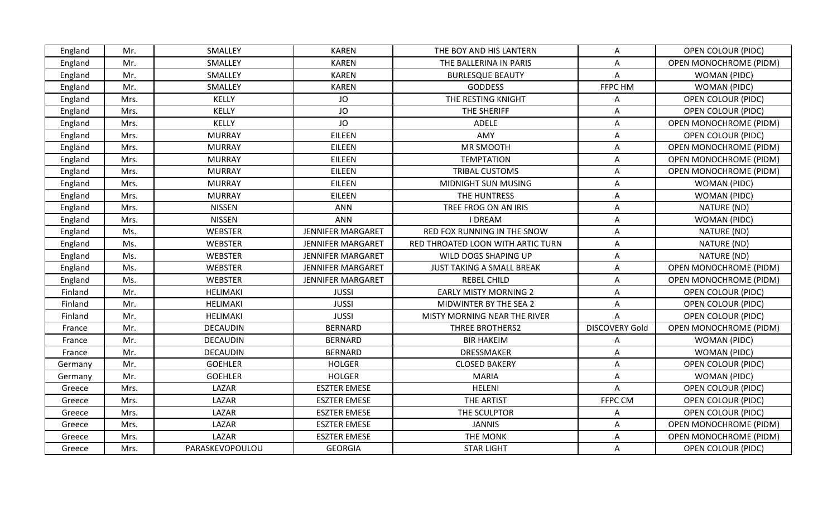| England | Mr.  | SMALLEY         | <b>KAREN</b>             | THE BOY AND HIS LANTERN           | A                     | <b>OPEN COLOUR (PIDC)</b>     |
|---------|------|-----------------|--------------------------|-----------------------------------|-----------------------|-------------------------------|
| England | Mr.  | SMALLEY         | <b>KAREN</b>             | THE BALLERINA IN PARIS            | A                     | OPEN MONOCHROME (PIDM)        |
| England | Mr.  | SMALLEY         | <b>KAREN</b>             | <b>BURLESQUE BEAUTY</b>           | A                     | WOMAN (PIDC)                  |
| England | Mr.  | SMALLEY         | <b>KAREN</b>             | <b>GODDESS</b>                    | FFPC HM               | WOMAN (PIDC)                  |
| England | Mrs. | KELLY           | JO                       | THE RESTING KNIGHT                | A                     | OPEN COLOUR (PIDC)            |
| England | Mrs. | KELLY           | JO                       | THE SHERIFF                       | A                     | <b>OPEN COLOUR (PIDC)</b>     |
| England | Mrs. | <b>KELLY</b>    | JO                       | <b>ADELE</b>                      | A                     | <b>OPEN MONOCHROME (PIDM)</b> |
| England | Mrs. | <b>MURRAY</b>   | EILEEN                   | AMY                               | A                     | <b>OPEN COLOUR (PIDC)</b>     |
| England | Mrs. | <b>MURRAY</b>   | <b>EILEEN</b>            | MR SMOOTH                         | A                     | <b>OPEN MONOCHROME (PIDM)</b> |
| England | Mrs. | <b>MURRAY</b>   | <b>EILEEN</b>            | <b>TEMPTATION</b>                 | Α                     | <b>OPEN MONOCHROME (PIDM)</b> |
| England | Mrs. | <b>MURRAY</b>   | EILEEN                   | <b>TRIBAL CUSTOMS</b>             | A                     | OPEN MONOCHROME (PIDM)        |
| England | Mrs. | <b>MURRAY</b>   | <b>EILEEN</b>            | MIDNIGHT SUN MUSING               | A                     | WOMAN (PIDC)                  |
| England | Mrs. | <b>MURRAY</b>   | EILEEN                   | THE HUNTRESS                      | A                     | WOMAN (PIDC)                  |
| England | Mrs. | <b>NISSEN</b>   | ANN                      | TREE FROG ON AN IRIS              | A                     | NATURE (ND)                   |
| England | Mrs. | <b>NISSEN</b>   | <b>ANN</b>               | <b>I DREAM</b>                    | Α                     | WOMAN (PIDC)                  |
| England | Ms.  | <b>WEBSTER</b>  | <b>JENNIFER MARGARET</b> | RED FOX RUNNING IN THE SNOW       | Α                     | NATURE (ND)                   |
| England | Ms.  | <b>WEBSTER</b>  | <b>JENNIFER MARGARET</b> | RED THROATED LOON WITH ARTIC TURN | A                     | NATURE (ND)                   |
| England | Ms.  | <b>WEBSTER</b>  | JENNIFER MARGARET        | WILD DOGS SHAPING UP              | A                     | NATURE (ND)                   |
| England | Ms.  | WEBSTER         | JENNIFER MARGARET        | JUST TAKING A SMALL BREAK         | A                     | <b>OPEN MONOCHROME (PIDM)</b> |
| England | Ms.  | <b>WEBSTER</b>  | <b>JENNIFER MARGARET</b> | <b>REBEL CHILD</b>                | A                     | <b>OPEN MONOCHROME (PIDM)</b> |
| Finland | Mr.  | HELIMAKI        | <b>JUSSI</b>             | <b>EARLY MISTY MORNING 2</b>      | A                     | <b>OPEN COLOUR (PIDC)</b>     |
| Finland | Mr.  | HELIMAKI        | <b>JUSSI</b>             | MIDWINTER BY THE SEA 2            | $\mathsf{A}$          | <b>OPEN COLOUR (PIDC)</b>     |
| Finland | Mr.  | HELIMAKI        | <b>JUSSI</b>             | MISTY MORNING NEAR THE RIVER      | A                     | <b>OPEN COLOUR (PIDC)</b>     |
| France  | Mr.  | <b>DECAUDIN</b> | <b>BERNARD</b>           | THREE BROTHERS2                   | <b>DISCOVERY Gold</b> | OPEN MONOCHROME (PIDM)        |
| France  | Mr.  | <b>DECAUDIN</b> | <b>BERNARD</b>           | <b>BIR HAKEIM</b>                 | A                     | WOMAN (PIDC)                  |
| France  | Mr.  | <b>DECAUDIN</b> | <b>BERNARD</b>           | <b>DRESSMAKER</b>                 | A                     | WOMAN (PIDC)                  |
| Germany | Mr.  | <b>GOEHLER</b>  | <b>HOLGER</b>            | <b>CLOSED BAKERY</b>              | A                     | <b>OPEN COLOUR (PIDC)</b>     |
| Germany | Mr.  | <b>GOEHLER</b>  | <b>HOLGER</b>            | <b>MARIA</b>                      | Α                     | WOMAN (PIDC)                  |
| Greece  | Mrs. | LAZAR           | <b>ESZTER EMESE</b>      | <b>HELENI</b>                     | A                     | <b>OPEN COLOUR (PIDC)</b>     |
| Greece  | Mrs. | LAZAR           | <b>ESZTER EMESE</b>      | THE ARTIST                        | FFPC CM               | <b>OPEN COLOUR (PIDC)</b>     |
| Greece  | Mrs. | LAZAR           | <b>ESZTER EMESE</b>      | THE SCULPTOR                      | A                     | <b>OPEN COLOUR (PIDC)</b>     |
| Greece  | Mrs. | LAZAR           | <b>ESZTER EMESE</b>      | <b>JANNIS</b>                     | A                     | OPEN MONOCHROME (PIDM)        |
| Greece  | Mrs. | LAZAR           | <b>ESZTER EMESE</b>      | THE MONK                          | Α                     | OPEN MONOCHROME (PIDM)        |
| Greece  | Mrs. | PARASKEVOPOULOU | <b>GEORGIA</b>           | <b>STAR LIGHT</b>                 | A                     | OPEN COLOUR (PIDC)            |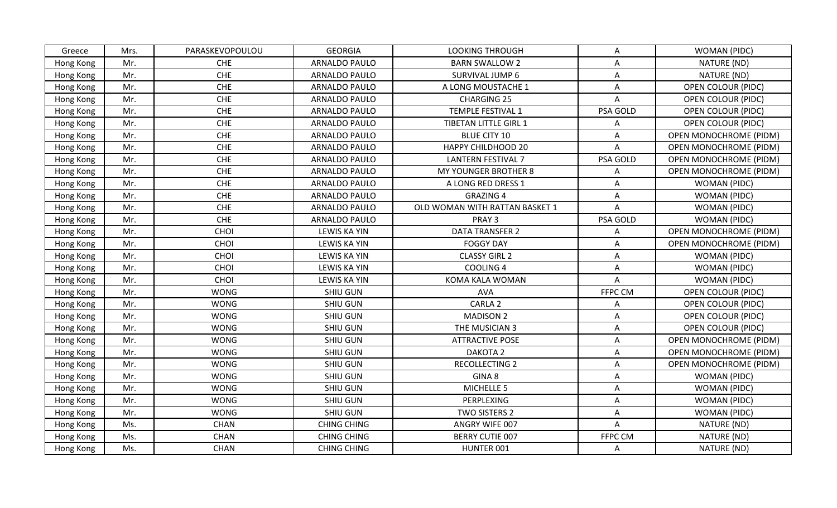| Greece    | Mrs. | PARASKEVOPOULOU | <b>GEORGIA</b>       | <b>LOOKING THROUGH</b>         | A              | WOMAN (PIDC)                  |
|-----------|------|-----------------|----------------------|--------------------------------|----------------|-------------------------------|
| Hong Kong | Mr.  | <b>CHE</b>      | <b>ARNALDO PAULO</b> | <b>BARN SWALLOW 2</b>          | A              | NATURE (ND)                   |
| Hong Kong | Mr.  | <b>CHE</b>      | <b>ARNALDO PAULO</b> | SURVIVAL JUMP 6                | A              | NATURE (ND)                   |
| Hong Kong | Mr.  | <b>CHE</b>      | ARNALDO PAULO        | A LONG MOUSTACHE 1             | A              | <b>OPEN COLOUR (PIDC)</b>     |
| Hong Kong | Mr.  | <b>CHE</b>      | ARNALDO PAULO        | <b>CHARGING 25</b>             | A              | <b>OPEN COLOUR (PIDC)</b>     |
| Hong Kong | Mr.  | <b>CHE</b>      | <b>ARNALDO PAULO</b> | TEMPLE FESTIVAL 1              | PSA GOLD       | <b>OPEN COLOUR (PIDC)</b>     |
| Hong Kong | Mr.  | <b>CHE</b>      | <b>ARNALDO PAULO</b> | TIBETAN LITTLE GIRL 1          | Α              | <b>OPEN COLOUR (PIDC)</b>     |
| Hong Kong | Mr.  | <b>CHE</b>      | <b>ARNALDO PAULO</b> | <b>BLUE CITY 10</b>            | Α              | <b>OPEN MONOCHROME (PIDM)</b> |
| Hong Kong | Mr.  | CHE             | <b>ARNALDO PAULO</b> | <b>HAPPY CHILDHOOD 20</b>      | A              | <b>OPEN MONOCHROME (PIDM)</b> |
| Hong Kong | Mr.  | CHE             | <b>ARNALDO PAULO</b> | <b>LANTERN FESTIVAL 7</b>      | PSA GOLD       | <b>OPEN MONOCHROME (PIDM)</b> |
| Hong Kong | Mr.  | <b>CHE</b>      | ARNALDO PAULO        | MY YOUNGER BROTHER 8           | A              | OPEN MONOCHROME (PIDM)        |
| Hong Kong | Mr.  | <b>CHE</b>      | <b>ARNALDO PAULO</b> | A LONG RED DRESS 1             | $\mathsf{A}$   | WOMAN (PIDC)                  |
| Hong Kong | Mr.  | CHE             | <b>ARNALDO PAULO</b> | <b>GRAZING 4</b>               | A              | WOMAN (PIDC)                  |
| Hong Kong | Mr.  | CHE             | <b>ARNALDO PAULO</b> | OLD WOMAN WITH RATTAN BASKET 1 | $\overline{A}$ | WOMAN (PIDC)                  |
| Hong Kong | Mr.  | <b>CHE</b>      | <b>ARNALDO PAULO</b> | PRAY 3                         | PSA GOLD       | <b>WOMAN (PIDC)</b>           |
| Hong Kong | Mr.  | CHOI            | LEWIS KA YIN         | <b>DATA TRANSFER 2</b>         | A              | <b>OPEN MONOCHROME (PIDM)</b> |
| Hong Kong | Mr.  | CHOI            | LEWIS KA YIN         | <b>FOGGY DAY</b>               | A              | <b>OPEN MONOCHROME (PIDM)</b> |
| Hong Kong | Mr.  | CHOI            | <b>LEWIS KA YIN</b>  | <b>CLASSY GIRL 2</b>           | A              | WOMAN (PIDC)                  |
| Hong Kong | Mr.  | CHOI            | LEWIS KA YIN         | <b>COOLING 4</b>               | Α              | WOMAN (PIDC)                  |
| Hong Kong | Mr.  | CHOI            | LEWIS KA YIN         | KOMA KALA WOMAN                | A              | <b>WOMAN (PIDC)</b>           |
| Hong Kong | Mr.  | <b>WONG</b>     | SHIU GUN             | <b>AVA</b>                     | FFPC CM        | <b>OPEN COLOUR (PIDC)</b>     |
| Hong Kong | Mr.  | <b>WONG</b>     | <b>SHIU GUN</b>      | CARLA <sub>2</sub>             | A              | <b>OPEN COLOUR (PIDC)</b>     |
| Hong Kong | Mr.  | <b>WONG</b>     | <b>SHIU GUN</b>      | <b>MADISON 2</b>               | A              | OPEN COLOUR (PIDC)            |
| Hong Kong | Mr.  | <b>WONG</b>     | SHIU GUN             | THE MUSICIAN 3                 | A              | <b>OPEN COLOUR (PIDC)</b>     |
| Hong Kong | Mr.  | <b>WONG</b>     | SHIU GUN             | <b>ATTRACTIVE POSE</b>         | A              | <b>OPEN MONOCHROME (PIDM)</b> |
| Hong Kong | Mr.  | <b>WONG</b>     | SHIU GUN             | DAKOTA <sub>2</sub>            | A              | <b>OPEN MONOCHROME (PIDM)</b> |
| Hong Kong | Mr.  | <b>WONG</b>     | <b>SHIU GUN</b>      | <b>RECOLLECTING 2</b>          | A              | OPEN MONOCHROME (PIDM)        |
| Hong Kong | Mr.  | <b>WONG</b>     | <b>SHIU GUN</b>      | GINA 8                         | $\mathsf{A}$   | WOMAN (PIDC)                  |
| Hong Kong | Mr.  | <b>WONG</b>     | <b>SHIU GUN</b>      | MICHELLE 5                     | A              | WOMAN (PIDC)                  |
| Hong Kong | Mr.  | <b>WONG</b>     | <b>SHIU GUN</b>      | PERPLEXING                     | A              | WOMAN (PIDC)                  |
| Hong Kong | Mr.  | <b>WONG</b>     | SHIU GUN             | TWO SISTERS 2                  | Α              | WOMAN (PIDC)                  |
| Hong Kong | Ms.  | CHAN            | <b>CHING CHING</b>   | ANGRY WIFE 007                 | A              | NATURE (ND)                   |
| Hong Kong | Ms.  | <b>CHAN</b>     | <b>CHING CHING</b>   | <b>BERRY CUTIE 007</b>         | FFPC CM        | NATURE (ND)                   |
| Hong Kong | Ms.  | <b>CHAN</b>     | <b>CHING CHING</b>   | HUNTER 001                     | A              | NATURE (ND)                   |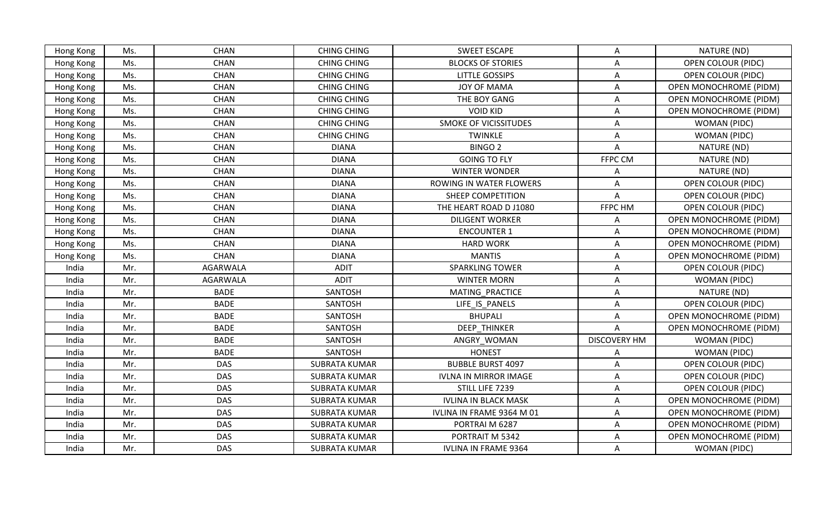| Hong Kong | Ms. | <b>CHAN</b> | <b>CHING CHING</b>   | <b>SWEET ESCAPE</b>          | A                         | NATURE (ND)                   |
|-----------|-----|-------------|----------------------|------------------------------|---------------------------|-------------------------------|
| Hong Kong | Ms. | <b>CHAN</b> | <b>CHING CHING</b>   | <b>BLOCKS OF STORIES</b>     | A                         | <b>OPEN COLOUR (PIDC)</b>     |
| Hong Kong | Ms. | <b>CHAN</b> | <b>CHING CHING</b>   | <b>LITTLE GOSSIPS</b>        | Α                         | <b>OPEN COLOUR (PIDC)</b>     |
| Hong Kong | Ms. | CHAN        | <b>CHING CHING</b>   | JOY OF MAMA                  | A                         | <b>OPEN MONOCHROME (PIDM)</b> |
| Hong Kong | Ms. | <b>CHAN</b> | <b>CHING CHING</b>   | THE BOY GANG                 | A                         | OPEN MONOCHROME (PIDM)        |
| Hong Kong | Ms. | <b>CHAN</b> | <b>CHING CHING</b>   | <b>VOID KID</b>              | A                         | OPEN MONOCHROME (PIDM)        |
| Hong Kong | Ms. | <b>CHAN</b> | <b>CHING CHING</b>   | <b>SMOKE OF VICISSITUDES</b> | $\mathsf{A}$              | WOMAN (PIDC)                  |
| Hong Kong | Ms. | <b>CHAN</b> | <b>CHING CHING</b>   | <b>TWINKLE</b>               | A                         | WOMAN (PIDC)                  |
| Hong Kong | Ms. | CHAN        | <b>DIANA</b>         | BINGO <sub>2</sub>           | A                         | NATURE (ND)                   |
| Hong Kong | Ms. | <b>CHAN</b> | <b>DIANA</b>         | <b>GOING TO FLY</b>          | FFPC CM                   | NATURE (ND)                   |
| Hong Kong | Ms. | CHAN        | <b>DIANA</b>         | <b>WINTER WONDER</b>         | A                         | NATURE (ND)                   |
| Hong Kong | Ms. | <b>CHAN</b> | <b>DIANA</b>         | ROWING IN WATER FLOWERS      | A                         | <b>OPEN COLOUR (PIDC)</b>     |
| Hong Kong | Ms. | <b>CHAN</b> | <b>DIANA</b>         | SHEEP COMPETITION            | A                         | <b>OPEN COLOUR (PIDC)</b>     |
| Hong Kong | Ms. | CHAN        | <b>DIANA</b>         | THE HEART ROAD D J1080       | FFPC HM                   | <b>OPEN COLOUR (PIDC)</b>     |
| Hong Kong | Ms. | CHAN        | <b>DIANA</b>         | <b>DILIGENT WORKER</b>       | Α                         | <b>OPEN MONOCHROME (PIDM)</b> |
| Hong Kong | Ms. | <b>CHAN</b> | <b>DIANA</b>         | <b>ENCOUNTER 1</b>           | A                         | OPEN MONOCHROME (PIDM)        |
| Hong Kong | Ms. | <b>CHAN</b> | <b>DIANA</b>         | <b>HARD WORK</b>             | $\mathsf{A}$              | <b>OPEN MONOCHROME (PIDM)</b> |
| Hong Kong | Ms. | <b>CHAN</b> | <b>DIANA</b>         | <b>MANTIS</b>                | A                         | OPEN MONOCHROME (PIDM)        |
| India     | Mr. | AGARWALA    | <b>ADIT</b>          | <b>SPARKLING TOWER</b>       | Α                         | <b>OPEN COLOUR (PIDC)</b>     |
| India     | Mr. | AGARWALA    | <b>ADIT</b>          | <b>WINTER MORN</b>           | A                         | WOMAN (PIDC)                  |
| India     | Mr. | <b>BADE</b> | SANTOSH              | MATING PRACTICE              | $\mathsf{A}$              | NATURE (ND)                   |
| India     | Mr. | <b>BADE</b> | SANTOSH              | LIFE IS PANELS               | $\mathsf{A}$              | <b>OPEN COLOUR (PIDC)</b>     |
| India     | Mr. | <b>BADE</b> | SANTOSH              | <b>BHUPALI</b>               | A                         | <b>OPEN MONOCHROME (PIDM)</b> |
| India     | Mr. | <b>BADE</b> | SANTOSH              | DEEP_THINKER                 | A                         | OPEN MONOCHROME (PIDM)        |
| India     | Mr. | <b>BADE</b> | SANTOSH              | ANGRY WOMAN                  | <b>DISCOVERY HM</b>       | WOMAN (PIDC)                  |
| India     | Mr. | <b>BADE</b> | SANTOSH              | <b>HONEST</b>                | A                         | WOMAN (PIDC)                  |
| India     | Mr. | <b>DAS</b>  | <b>SUBRATA KUMAR</b> | <b>BUBBLE BURST 4097</b>     | A                         | <b>OPEN COLOUR (PIDC)</b>     |
| India     | Mr. | <b>DAS</b>  | <b>SUBRATA KUMAR</b> | <b>IVLNA IN MIRROR IMAGE</b> | A                         | <b>OPEN COLOUR (PIDC)</b>     |
| India     | Mr. | <b>DAS</b>  | <b>SUBRATA KUMAR</b> | STILL LIFE 7239              | Α                         | OPEN COLOUR (PIDC)            |
| India     | Mr. | <b>DAS</b>  | <b>SUBRATA KUMAR</b> | <b>IVLINA IN BLACK MASK</b>  | $\boldsymbol{\mathsf{A}}$ | <b>OPEN MONOCHROME (PIDM)</b> |
| India     | Mr. | <b>DAS</b>  | <b>SUBRATA KUMAR</b> | IVLINA IN FRAME 9364 M 01    | A                         | <b>OPEN MONOCHROME (PIDM)</b> |
| India     | Mr. | <b>DAS</b>  | <b>SUBRATA KUMAR</b> | PORTRAIM 6287                | A                         | <b>OPEN MONOCHROME (PIDM)</b> |
| India     | Mr. | <b>DAS</b>  | <b>SUBRATA KUMAR</b> | PORTRAIT M 5342              | Α                         | OPEN MONOCHROME (PIDM)        |
| India     | Mr. | <b>DAS</b>  | <b>SUBRATA KUMAR</b> | <b>IVLINA IN FRAME 9364</b>  | A                         | WOMAN (PIDC)                  |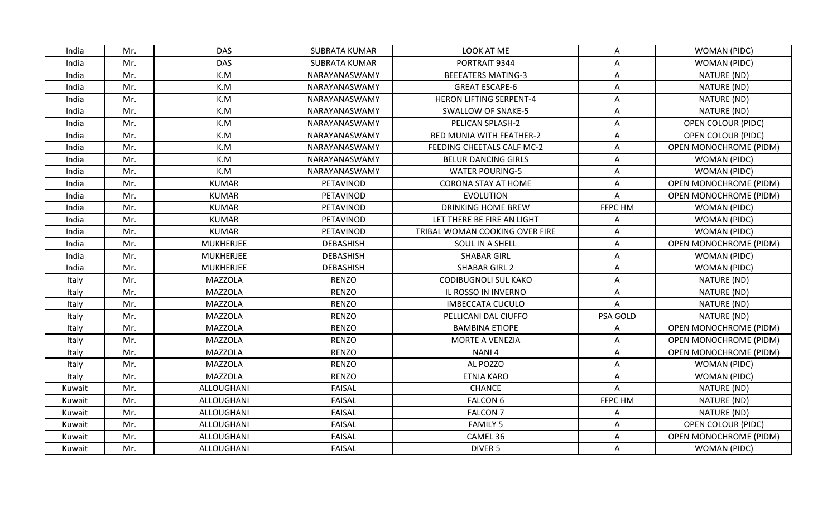| India  | Mr. | <b>DAS</b>       | <b>SUBRATA KUMAR</b> | LOOK AT ME                     | A        | WOMAN (PIDC)                  |
|--------|-----|------------------|----------------------|--------------------------------|----------|-------------------------------|
| India  | Mr. | <b>DAS</b>       | <b>SUBRATA KUMAR</b> | PORTRAIT 9344                  | А        | WOMAN (PIDC)                  |
| India  | Mr. | K.M              | NARAYANASWAMY        | <b>BEEEATERS MATING-3</b>      | Α        | NATURE (ND)                   |
| India  | Mr. | K.M              | NARAYANASWAMY        | <b>GREAT ESCAPE-6</b>          | A        | NATURE (ND)                   |
| India  | Mr. | K.M              | NARAYANASWAMY        | <b>HERON LIFTING SERPENT-4</b> | A        | NATURE (ND)                   |
| India  | Mr. | K.M              | NARAYANASWAMY        | SWALLOW OF SNAKE-5             | A        | NATURE (ND)                   |
| India  | Mr. | K.M              | NARAYANASWAMY        | PELICAN SPLASH-2               | A        | <b>OPEN COLOUR (PIDC)</b>     |
| India  | Mr. | K.M              | NARAYANASWAMY        | RED MUNIA WITH FEATHER-2       | Α        | OPEN COLOUR (PIDC)            |
| India  | Mr. | K.M              | NARAYANASWAMY        | FEEDING CHEETALS CALF MC-2     | Α        | <b>OPEN MONOCHROME (PIDM)</b> |
| India  | Mr. | K.M              | NARAYANASWAMY        | <b>BELUR DANCING GIRLS</b>     | Α        | WOMAN (PIDC)                  |
| India  | Mr. | K.M              | NARAYANASWAMY        | <b>WATER POURING-5</b>         | A        | WOMAN (PIDC)                  |
| India  | Mr. | <b>KUMAR</b>     | PETAVINOD            | <b>CORONA STAY AT HOME</b>     | A        | <b>OPEN MONOCHROME (PIDM)</b> |
| India  | Mr. | <b>KUMAR</b>     | PETAVINOD            | <b>EVOLUTION</b>               | A        | OPEN MONOCHROME (PIDM)        |
| India  | Mr. | <b>KUMAR</b>     | PETAVINOD            | <b>DRINKING HOME BREW</b>      | FFPC HM  | WOMAN (PIDC)                  |
| India  | Mr. | <b>KUMAR</b>     | PETAVINOD            | LET THERE BE FIRE AN LIGHT     | Α        | WOMAN (PIDC)                  |
| India  | Mr. | <b>KUMAR</b>     | PETAVINOD            | TRIBAL WOMAN COOKING OVER FIRE | A        | WOMAN (PIDC)                  |
| India  | Mr. | <b>MUKHERJEE</b> | <b>DEBASHISH</b>     | SOUL IN A SHELL                | A        | <b>OPEN MONOCHROME (PIDM)</b> |
| India  | Mr. | <b>MUKHERJEE</b> | <b>DEBASHISH</b>     | <b>SHABAR GIRL</b>             | A        | WOMAN (PIDC)                  |
| India  | Mr. | <b>MUKHERJEE</b> | <b>DEBASHISH</b>     | <b>SHABAR GIRL 2</b>           | Α        | WOMAN (PIDC)                  |
| Italy  | Mr. | <b>MAZZOLA</b>   | <b>RENZO</b>         | <b>CODIBUGNOLI SUL KAKO</b>    | A        | NATURE (ND)                   |
| Italy  | Mr. | <b>MAZZOLA</b>   | <b>RENZO</b>         | IL ROSSO IN INVERNO            | A        | NATURE (ND)                   |
| Italy  | Mr. | <b>MAZZOLA</b>   | <b>RENZO</b>         | <b>IMBECCATA CUCULO</b>        | A        | NATURE (ND)                   |
| Italy  | Mr. | <b>MAZZOLA</b>   | <b>RENZO</b>         | PELLICANI DAL CIUFFO           | PSA GOLD | NATURE (ND)                   |
| Italy  | Mr. | <b>MAZZOLA</b>   | <b>RENZO</b>         | <b>BAMBINA ETIOPE</b>          | A        | <b>OPEN MONOCHROME (PIDM)</b> |
| Italy  | Mr. | <b>MAZZOLA</b>   | <b>RENZO</b>         | MORTE A VENEZIA                | Α        | <b>OPEN MONOCHROME (PIDM)</b> |
| Italy  | Mr. | <b>MAZZOLA</b>   | <b>RENZO</b>         | NANI <sub>4</sub>              | A        | OPEN MONOCHROME (PIDM)        |
| Italy  | Mr. | <b>MAZZOLA</b>   | <b>RENZO</b>         | AL POZZO                       | A        | WOMAN (PIDC)                  |
| Italy  | Mr. | <b>MAZZOLA</b>   | <b>RENZO</b>         | <b>ETNIA KARO</b>              | Α        | WOMAN (PIDC)                  |
| Kuwait | Mr. | ALLOUGHANI       | <b>FAISAL</b>        | <b>CHANCE</b>                  | A        | NATURE (ND)                   |
| Kuwait | Mr. | ALLOUGHANI       | <b>FAISAL</b>        | <b>FALCON 6</b>                | FFPC HM  | NATURE (ND)                   |
| Kuwait | Mr. | ALLOUGHANI       | <b>FAISAL</b>        | <b>FALCON 7</b>                | A        | NATURE (ND)                   |
| Kuwait | Mr. | ALLOUGHANI       | <b>FAISAL</b>        | <b>FAMILY 5</b>                | A        | <b>OPEN COLOUR (PIDC)</b>     |
| Kuwait | Mr. | ALLOUGHANI       | <b>FAISAL</b>        | CAMEL 36                       | Α        | OPEN MONOCHROME (PIDM)        |
| Kuwait | Mr. | ALLOUGHANI       | <b>FAISAL</b>        | DIVER 5                        | A        | WOMAN (PIDC)                  |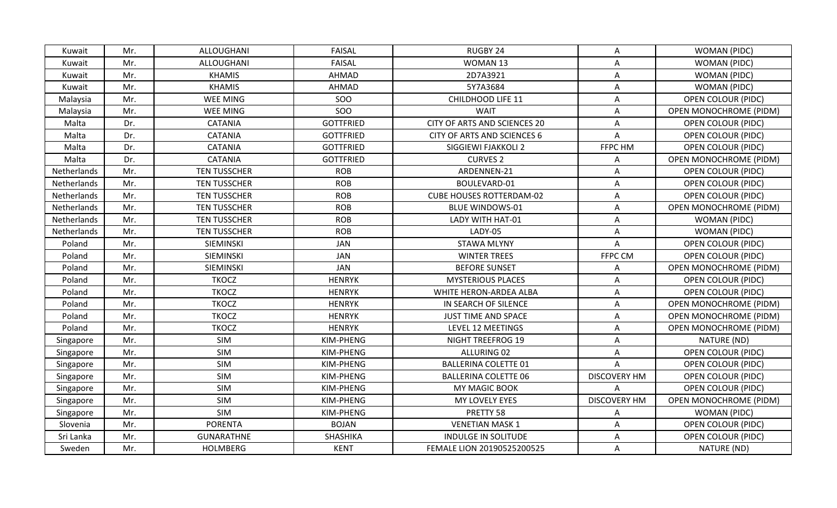| Kuwait      | Mr. | ALLOUGHANI          | <b>FAISAL</b>    | RUGBY 24                        | A                   | WOMAN (PIDC)                  |
|-------------|-----|---------------------|------------------|---------------------------------|---------------------|-------------------------------|
| Kuwait      | Mr. | ALLOUGHANI          | <b>FAISAL</b>    | WOMAN 13                        | A                   | WOMAN (PIDC)                  |
| Kuwait      | Mr. | <b>KHAMIS</b>       | AHMAD            | 2D7A3921                        | Α                   | WOMAN (PIDC)                  |
| Kuwait      | Mr. | <b>KHAMIS</b>       | AHMAD            | 5Y7A3684                        | A                   | WOMAN (PIDC)                  |
| Malaysia    | Mr. | WEE MING            | SOO              | CHILDHOOD LIFE 11               | Α                   | <b>OPEN COLOUR (PIDC)</b>     |
| Malaysia    | Mr. | <b>WEE MING</b>     | SOO              | <b>WAIT</b>                     | A                   | OPEN MONOCHROME (PIDM)        |
| Malta       | Dr. | CATANIA             | <b>GOTTFRIED</b> | CITY OF ARTS AND SCIENCES 20    | A                   | OPEN COLOUR (PIDC)            |
| Malta       | Dr. | <b>CATANIA</b>      | <b>GOTTFRIED</b> | CITY OF ARTS AND SCIENCES 6     | Α                   | OPEN COLOUR (PIDC)            |
| Malta       | Dr. | <b>CATANIA</b>      | <b>GOTTFRIED</b> | SIGGIEWI FJAKKOLI 2             | FFPC HM             | <b>OPEN COLOUR (PIDC)</b>     |
| Malta       | Dr. | <b>CATANIA</b>      | <b>GOTTFRIED</b> | <b>CURVES 2</b>                 | A                   | <b>OPEN MONOCHROME (PIDM)</b> |
| Netherlands | Mr. | <b>TEN TUSSCHER</b> | <b>ROB</b>       | ARDENNEN-21                     | A                   | <b>OPEN COLOUR (PIDC)</b>     |
| Netherlands | Mr. | <b>TEN TUSSCHER</b> | <b>ROB</b>       | BOULEVARD-01                    | Α                   | <b>OPEN COLOUR (PIDC)</b>     |
| Netherlands | Mr. | <b>TEN TUSSCHER</b> | <b>ROB</b>       | <b>CUBE HOUSES ROTTERDAM-02</b> | Α                   | <b>OPEN COLOUR (PIDC)</b>     |
| Netherlands | Mr. | <b>TEN TUSSCHER</b> | <b>ROB</b>       | <b>BLUE WINDOWS-01</b>          | A                   | <b>OPEN MONOCHROME (PIDM)</b> |
| Netherlands | Mr. | <b>TEN TUSSCHER</b> | <b>ROB</b>       | LADY WITH HAT-01                | A                   | WOMAN (PIDC)                  |
| Netherlands | Mr. | <b>TEN TUSSCHER</b> | <b>ROB</b>       | LADY-05                         | A                   | <b>WOMAN (PIDC)</b>           |
| Poland      | Mr. | SIEMINSKI           | <b>JAN</b>       | <b>STAWA MLYNY</b>              | A                   | <b>OPEN COLOUR (PIDC)</b>     |
| Poland      | Mr. | SIEMINSKI           | <b>JAN</b>       | <b>WINTER TREES</b>             | FFPC CM             | <b>OPEN COLOUR (PIDC)</b>     |
| Poland      | Mr. | SIEMINSKI           | JAN              | <b>BEFORE SUNSET</b>            | A                   | <b>OPEN MONOCHROME (PIDM)</b> |
| Poland      | Mr. | <b>TKOCZ</b>        | <b>HENRYK</b>    | <b>MYSTERIOUS PLACES</b>        | A                   | <b>OPEN COLOUR (PIDC)</b>     |
| Poland      | Mr. | <b>TKOCZ</b>        | <b>HENRYK</b>    | WHITE HERON-ARDEA ALBA          | A                   | <b>OPEN COLOUR (PIDC)</b>     |
| Poland      | Mr. | <b>TKOCZ</b>        | <b>HENRYK</b>    | IN SEARCH OF SILENCE            | Α                   | OPEN MONOCHROME (PIDM)        |
| Poland      | Mr. | <b>TKOCZ</b>        | <b>HENRYK</b>    | JUST TIME AND SPACE             | A                   | <b>OPEN MONOCHROME (PIDM)</b> |
| Poland      | Mr. | <b>TKOCZ</b>        | <b>HENRYK</b>    | LEVEL 12 MEETINGS               | A                   | <b>OPEN MONOCHROME (PIDM)</b> |
| Singapore   | Mr. | SIM                 | KIM-PHENG        | NIGHT TREEFROG 19               | Α                   | NATURE (ND)                   |
| Singapore   | Mr. | <b>SIM</b>          | KIM-PHENG        | ALLURING 02                     | A                   | <b>OPEN COLOUR (PIDC)</b>     |
| Singapore   | Mr. | SIM                 | KIM-PHENG        | <b>BALLERINA COLETTE 01</b>     | A                   | <b>OPEN COLOUR (PIDC)</b>     |
| Singapore   | Mr. | SIM                 | KIM-PHENG        | <b>BALLERINA COLETTE 06</b>     | <b>DISCOVERY HM</b> | <b>OPEN COLOUR (PIDC)</b>     |
| Singapore   | Mr. | <b>SIM</b>          | KIM-PHENG        | <b>MY MAGIC BOOK</b>            |                     | <b>OPEN COLOUR (PIDC)</b>     |
| Singapore   | Mr. | SIM                 | KIM-PHENG        | MY LOVELY EYES                  | <b>DISCOVERY HM</b> | <b>OPEN MONOCHROME (PIDM)</b> |
| Singapore   | Mr. | SIM                 | KIM-PHENG        | PRETTY 58                       | Α                   | <b>WOMAN (PIDC)</b>           |
| Slovenia    | Mr. | <b>PORENTA</b>      | <b>BOJAN</b>     | <b>VENETIAN MASK 1</b>          | Α                   | <b>OPEN COLOUR (PIDC)</b>     |
| Sri Lanka   | Mr. | <b>GUNARATHNE</b>   | SHASHIKA         | <b>INDULGE IN SOLITUDE</b>      | Α                   | <b>OPEN COLOUR (PIDC)</b>     |
| Sweden      | Mr. | <b>HOLMBERG</b>     | <b>KENT</b>      | FEMALE LION 20190525200525      | Α                   | NATURE (ND)                   |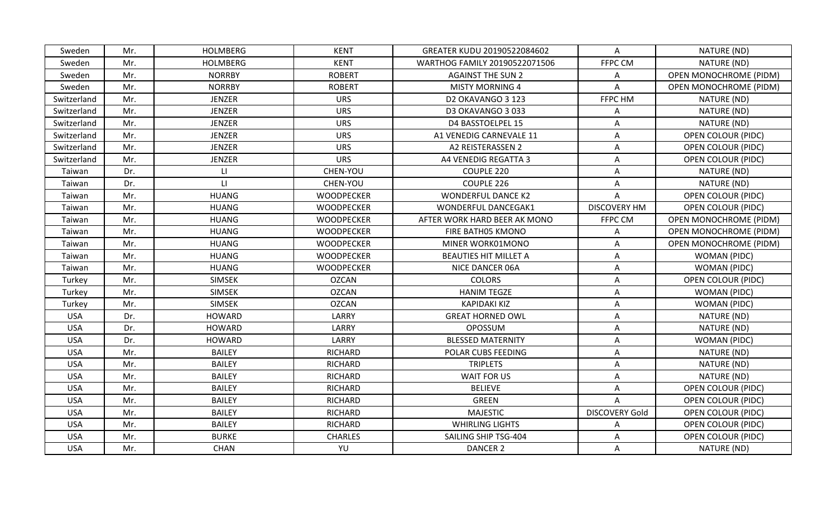| Sweden      | Mr. | <b>HOLMBERG</b> | <b>KENT</b>       | GREATER KUDU 20190522084602   | A                         | NATURE (ND)                   |
|-------------|-----|-----------------|-------------------|-------------------------------|---------------------------|-------------------------------|
| Sweden      | Mr. | <b>HOLMBERG</b> | <b>KENT</b>       | WARTHOG FAMILY 20190522071506 | FFPC CM                   | NATURE (ND)                   |
| Sweden      | Mr. | <b>NORRBY</b>   | <b>ROBERT</b>     | <b>AGAINST THE SUN 2</b>      | A                         | OPEN MONOCHROME (PIDM)        |
| Sweden      | Mr. | <b>NORRBY</b>   | <b>ROBERT</b>     | <b>MISTY MORNING 4</b>        | $\mathsf{A}$              | <b>OPEN MONOCHROME (PIDM)</b> |
| Switzerland | Mr. | <b>JENZER</b>   | <b>URS</b>        | D2 OKAVANGO 3 123             | FFPC HM                   | NATURE (ND)                   |
| Switzerland | Mr. | JENZER          | <b>URS</b>        | D3 OKAVANGO 3 033             | A                         | NATURE (ND)                   |
| Switzerland | Mr. | <b>JENZER</b>   | <b>URS</b>        | D4 BASSTOELPEL 15             | $\boldsymbol{\mathsf{A}}$ | NATURE (ND)                   |
| Switzerland | Mr. | <b>JENZER</b>   | <b>URS</b>        | A1 VENEDIG CARNEVALE 11       | Α                         | <b>OPEN COLOUR (PIDC)</b>     |
| Switzerland | Mr. | JENZER          | <b>URS</b>        | A2 REISTERASSEN 2             | A                         | OPEN COLOUR (PIDC)            |
| Switzerland | Mr. | JENZER          | <b>URS</b>        | A4 VENEDIG REGATTA 3          | Α                         | <b>OPEN COLOUR (PIDC)</b>     |
| Taiwan      | Dr. | LI              | CHEN-YOU          | COUPLE 220                    | A                         | NATURE (ND)                   |
| Taiwan      | Dr. | $\mathsf{L}$    | CHEN-YOU          | COUPLE 226                    | A                         | NATURE (ND)                   |
| Taiwan      | Mr. | <b>HUANG</b>    | <b>WOODPECKER</b> | <b>WONDERFUL DANCE K2</b>     | A                         | <b>OPEN COLOUR (PIDC)</b>     |
| Taiwan      | Mr. | <b>HUANG</b>    | <b>WOODPECKER</b> | WONDERFUL DANCEGAK1           | <b>DISCOVERY HM</b>       | <b>OPEN COLOUR (PIDC)</b>     |
| Taiwan      | Mr. | <b>HUANG</b>    | <b>WOODPECKER</b> | AFTER WORK HARD BEER AK MONO  | FFPC CM                   | <b>OPEN MONOCHROME (PIDM)</b> |
| Taiwan      | Mr. | <b>HUANG</b>    | <b>WOODPECKER</b> | FIRE BATH05 KMONO             | Α                         | <b>OPEN MONOCHROME (PIDM)</b> |
| Taiwan      | Mr. | <b>HUANG</b>    | <b>WOODPECKER</b> | MINER WORK01MONO              | A                         | <b>OPEN MONOCHROME (PIDM)</b> |
| Taiwan      | Mr. | <b>HUANG</b>    | <b>WOODPECKER</b> | <b>BEAUTIES HIT MILLET A</b>  | A                         | WOMAN (PIDC)                  |
| Taiwan      | Mr. | <b>HUANG</b>    | <b>WOODPECKER</b> | NICE DANCER 06A               | A                         | WOMAN (PIDC)                  |
| Turkey      | Mr. | <b>SIMSEK</b>   | <b>OZCAN</b>      | <b>COLORS</b>                 | A                         | <b>OPEN COLOUR (PIDC)</b>     |
| Turkey      | Mr. | <b>SIMSEK</b>   | <b>OZCAN</b>      | <b>HANIM TEGZE</b>            | A                         | WOMAN (PIDC)                  |
| Turkey      | Mr. | <b>SIMSEK</b>   | <b>OZCAN</b>      | <b>KAPIDAKI KIZ</b>           | A                         | WOMAN (PIDC)                  |
| <b>USA</b>  | Dr. | <b>HOWARD</b>   | LARRY             | <b>GREAT HORNED OWL</b>       | Α                         | NATURE (ND)                   |
| <b>USA</b>  | Dr. | <b>HOWARD</b>   | LARRY             | <b>OPOSSUM</b>                | Α                         | NATURE (ND)                   |
| <b>USA</b>  | Dr. | <b>HOWARD</b>   | LARRY             | <b>BLESSED MATERNITY</b>      | Α                         | WOMAN (PIDC)                  |
| <b>USA</b>  | Mr. | <b>BAILEY</b>   | <b>RICHARD</b>    | POLAR CUBS FEEDING            | A                         | NATURE (ND)                   |
| <b>USA</b>  | Mr. | <b>BAILEY</b>   | <b>RICHARD</b>    | <b>TRIPLETS</b>               | A                         | NATURE (ND)                   |
| <b>USA</b>  | Mr. | <b>BAILEY</b>   | <b>RICHARD</b>    | WAIT FOR US                   | Α                         | NATURE (ND)                   |
| <b>USA</b>  | Mr. | <b>BAILEY</b>   | <b>RICHARD</b>    | <b>BELIEVE</b>                | Α                         | <b>OPEN COLOUR (PIDC)</b>     |
| <b>USA</b>  | Mr. | <b>BAILEY</b>   | <b>RICHARD</b>    | <b>GREEN</b>                  | $\mathsf{A}$              | <b>OPEN COLOUR (PIDC)</b>     |
| <b>USA</b>  | Mr. | <b>BAILEY</b>   | <b>RICHARD</b>    | <b>MAJESTIC</b>               | <b>DISCOVERY Gold</b>     | <b>OPEN COLOUR (PIDC)</b>     |
| <b>USA</b>  | Mr. | <b>BAILEY</b>   | <b>RICHARD</b>    | <b>WHIRLING LIGHTS</b>        | A                         | <b>OPEN COLOUR (PIDC)</b>     |
| <b>USA</b>  | Mr. | <b>BURKE</b>    | <b>CHARLES</b>    | SAILING SHIP TSG-404          | A                         | <b>OPEN COLOUR (PIDC)</b>     |
| <b>USA</b>  | Mr. | <b>CHAN</b>     | YU                | <b>DANCER 2</b>               | Α                         | NATURE (ND)                   |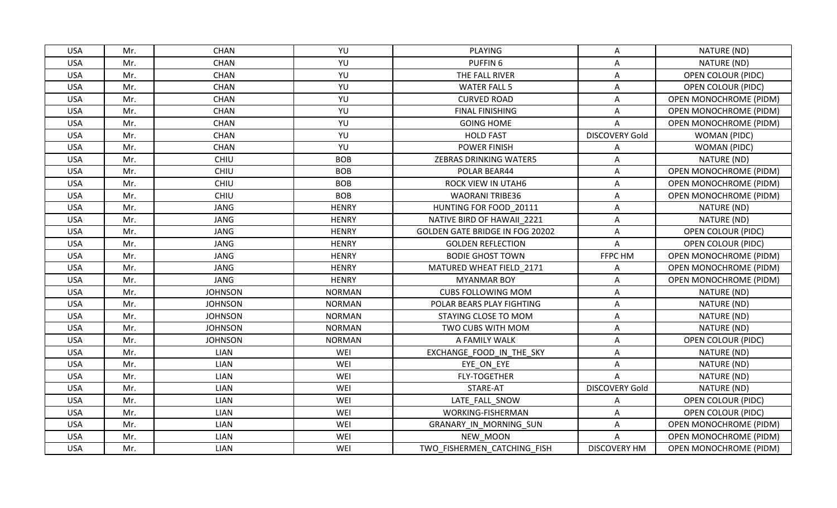| <b>USA</b> | Mr. | <b>CHAN</b>    | YU            | PLAYING                                | $\mathsf{A}$          | NATURE (ND)                   |
|------------|-----|----------------|---------------|----------------------------------------|-----------------------|-------------------------------|
| <b>USA</b> | Mr. | <b>CHAN</b>    | YU            | PUFFIN <sub>6</sub>                    | A                     | NATURE (ND)                   |
| <b>USA</b> | Mr. | <b>CHAN</b>    | YU            | THE FALL RIVER                         | A                     | <b>OPEN COLOUR (PIDC)</b>     |
| <b>USA</b> | Mr. | <b>CHAN</b>    | YU            | <b>WATER FALL 5</b>                    | Α                     | OPEN COLOUR (PIDC)            |
| <b>USA</b> | Mr. | <b>CHAN</b>    | YU            | <b>CURVED ROAD</b>                     | A                     | <b>OPEN MONOCHROME (PIDM)</b> |
| <b>USA</b> | Mr. | <b>CHAN</b>    | YU            | <b>FINAL FINISHING</b>                 | $\mathsf{A}$          | <b>OPEN MONOCHROME (PIDM)</b> |
| <b>USA</b> | Mr. | <b>CHAN</b>    | YU            | <b>GOING HOME</b>                      | A                     | OPEN MONOCHROME (PIDM)        |
| <b>USA</b> | Mr. | <b>CHAN</b>    | YU            | <b>HOLD FAST</b>                       | <b>DISCOVERY Gold</b> | WOMAN (PIDC)                  |
| <b>USA</b> | Mr. | <b>CHAN</b>    | YU            | <b>POWER FINISH</b>                    | A                     | WOMAN (PIDC)                  |
| <b>USA</b> | Mr. | CHIU           | <b>BOB</b>    | ZEBRAS DRINKING WATER5                 | A                     | NATURE (ND)                   |
| <b>USA</b> | Mr. | CHIU           | <b>BOB</b>    | POLAR BEAR44                           | Α                     | <b>OPEN MONOCHROME (PIDM)</b> |
| <b>USA</b> | Mr. | CHIU           | <b>BOB</b>    | ROCK VIEW IN UTAH6                     | A                     | OPEN MONOCHROME (PIDM)        |
| <b>USA</b> | Mr. | CHIU           | <b>BOB</b>    | <b>WAORANI TRIBE36</b>                 | Α                     | <b>OPEN MONOCHROME (PIDM)</b> |
| <b>USA</b> | Mr. | <b>JANG</b>    | <b>HENRY</b>  | HUNTING FOR FOOD 20111                 | Α                     | NATURE (ND)                   |
| <b>USA</b> | Mr. | <b>JANG</b>    | <b>HENRY</b>  | NATIVE BIRD OF HAWAII 2221             | Α                     | NATURE (ND)                   |
| <b>USA</b> | Mr. | <b>JANG</b>    | <b>HENRY</b>  | <b>GOLDEN GATE BRIDGE IN FOG 20202</b> | $\mathsf{A}$          | <b>OPEN COLOUR (PIDC)</b>     |
| <b>USA</b> | Mr. | <b>JANG</b>    | <b>HENRY</b>  | <b>GOLDEN REFLECTION</b>               | A                     | <b>OPEN COLOUR (PIDC)</b>     |
| <b>USA</b> | Mr. | <b>JANG</b>    | <b>HENRY</b>  | <b>BODIE GHOST TOWN</b>                | FFPC HM               | OPEN MONOCHROME (PIDM)        |
| <b>USA</b> | Mr. | <b>JANG</b>    | <b>HENRY</b>  | MATURED WHEAT FIELD 2171               | A                     | <b>OPEN MONOCHROME (PIDM)</b> |
| <b>USA</b> | Mr. | <b>JANG</b>    | <b>HENRY</b>  | <b>MYANMAR BOY</b>                     | Α                     | <b>OPEN MONOCHROME (PIDM)</b> |
| <b>USA</b> | Mr. | <b>JOHNSON</b> | <b>NORMAN</b> | <b>CUBS FOLLOWING MOM</b>              | A                     | NATURE (ND)                   |
| <b>USA</b> | Mr. | <b>JOHNSON</b> | <b>NORMAN</b> | POLAR BEARS PLAY FIGHTING              | A                     | NATURE (ND)                   |
| <b>USA</b> | Mr. | <b>JOHNSON</b> | <b>NORMAN</b> | STAYING CLOSE TO MOM                   | A                     | NATURE (ND)                   |
| <b>USA</b> | Mr. | <b>JOHNSON</b> | <b>NORMAN</b> | TWO CUBS WITH MOM                      | A                     | NATURE (ND)                   |
| <b>USA</b> | Mr. | <b>JOHNSON</b> | <b>NORMAN</b> | A FAMILY WALK                          | Α                     | <b>OPEN COLOUR (PIDC)</b>     |
| <b>USA</b> | Mr. | LIAN           | WEI           | EXCHANGE FOOD IN THE SKY               | A                     | NATURE (ND)                   |
| <b>USA</b> | Mr. | LIAN           | WEI           | EYE ON EYE                             | A                     | NATURE (ND)                   |
| <b>USA</b> | Mr. | <b>LIAN</b>    | WEI           | <b>FLY-TOGETHER</b>                    | A                     | NATURE (ND)                   |
| <b>USA</b> | Mr. | LIAN           | WEI           | STARE-AT                               | <b>DISCOVERY Gold</b> | NATURE (ND)                   |
| <b>USA</b> | Mr. | <b>LIAN</b>    | WEI           | LATE FALL SNOW                         | A                     | <b>OPEN COLOUR (PIDC)</b>     |
| <b>USA</b> | Mr. | LIAN           | WEI           | WORKING-FISHERMAN                      | A                     | <b>OPEN COLOUR (PIDC)</b>     |
| <b>USA</b> | Mr. | LIAN           | WEI           | GRANARY_IN_MORNING_SUN                 | A                     | <b>OPEN MONOCHROME (PIDM)</b> |
| <b>USA</b> | Mr. | <b>LIAN</b>    | WEI           | NEW MOON                               | A                     | OPEN MONOCHROME (PIDM)        |
| <b>USA</b> | Mr. | LIAN           | WEI           | TWO FISHERMEN CATCHING FISH            | <b>DISCOVERY HM</b>   | <b>OPEN MONOCHROME (PIDM)</b> |